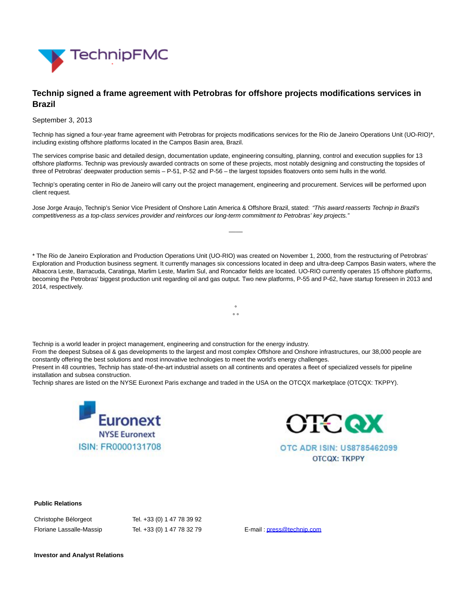

## **Technip signed a frame agreement with Petrobras for offshore projects modifications services in Brazil**

September 3, 2013

Technip has signed a four-year frame agreement with Petrobras for projects modifications services for the Rio de Janeiro Operations Unit (UO-RIO)\*, including existing offshore platforms located in the Campos Basin area, Brazil.

The services comprise basic and detailed design, documentation update, engineering consulting, planning, control and execution supplies for 13 offshore platforms. Technip was previously awarded contracts on some of these projects, most notably designing and constructing the topsides of three of Petrobras' deepwater production semis – P-51, P-52 and P-56 – the largest topsides floatovers onto semi hulls in the world.

Technip's operating center in Rio de Janeiro will carry out the project management, engineering and procurement. Services will be performed upon client request.

Jose Jorge Araujo, Technip's Senior Vice President of Onshore Latin America & Offshore Brazil, stated: "This award reasserts Technip in Brazil's competitiveness as a top-class services provider and reinforces our long-term commitment to Petrobras' key projects."

\* The Rio de Janeiro Exploration and Production Operations Unit (UO-RIO) was created on November 1, 2000, from the restructuring of Petrobras' Exploration and Production business segment. It currently manages six concessions located in deep and ultra-deep Campos Basin waters, where the Albacora Leste, Barracuda, Caratinga, Marlim Leste, Marlim Sul, and Roncador fields are located. UO-RIO currently operates 15 offshore platforms, becoming the Petrobras' biggest production unit regarding oil and gas output. Two new platforms, P-55 and P-62, have startup foreseen in 2013 and 2014, respectively.

> °  $\circ$

 $\overline{\phantom{a}}$ 

Technip is a world leader in project management, engineering and construction for the energy industry.

From the deepest Subsea oil & gas developments to the largest and most complex Offshore and Onshore infrastructures, our 38,000 people are constantly offering the best solutions and most innovative technologies to meet the world's energy challenges.

Present in 48 countries, Technip has state-of-the-art industrial assets on all continents and operates a fleet of specialized vessels for pipeline installation and subsea construction.

Technip shares are listed on the NYSE Euronext Paris exchange and traded in the USA on the OTCQX marketplace (OTCQX: TKPPY).





OTC ADR ISIN: US8785462099 **OTCQX: TKPPY** 

## **Public Relations**

| Christophe Bélorgeot     | Tel. +33 (0) 1 47 78 39 92 |
|--------------------------|----------------------------|
| Floriane Lassalle-Massip | Tel. +33 (0) 1 47 78 32 79 |

E-mail [: press@technip.com](mailto:press@technip.com)

**Investor and Analyst Relations**